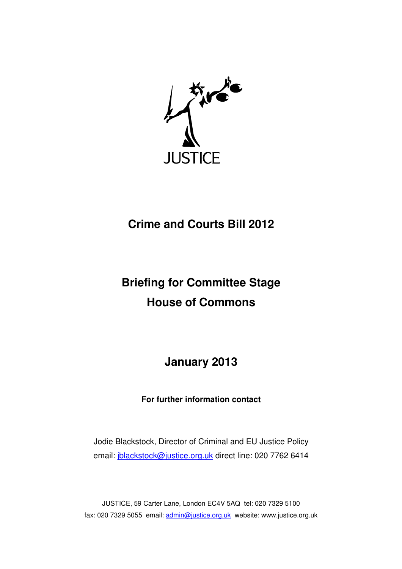

## **Crime and Courts Bill 2012**

# **Briefing for Committee Stage House of Commons**

**January 2013** 

**For further information contact** 

Jodie Blackstock, Director of Criminal and EU Justice Policy email: jblackstock@justice.org.uk direct line: 020 7762 6414

JUSTICE, 59 Carter Lane, London EC4V 5AQ tel: 020 7329 5100 fax: 020 7329 5055 email: admin@justice.org.uk website: www.justice.org.uk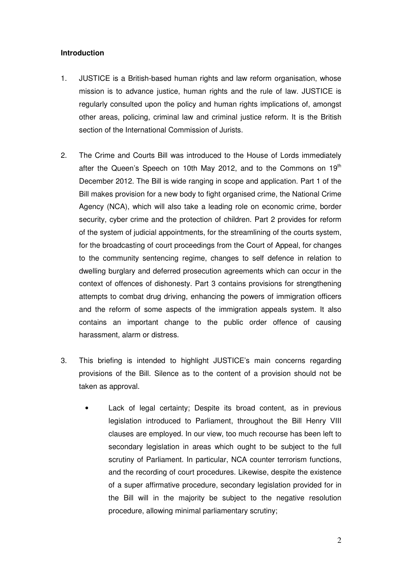#### **Introduction**

- 1. JUSTICE is a British-based human rights and law reform organisation, whose mission is to advance justice, human rights and the rule of law. JUSTICE is regularly consulted upon the policy and human rights implications of, amongst other areas, policing, criminal law and criminal justice reform. It is the British section of the International Commission of Jurists.
- 2. The Crime and Courts Bill was introduced to the House of Lords immediately after the Queen's Speech on 10th May 2012, and to the Commons on  $19<sup>th</sup>$ December 2012. The Bill is wide ranging in scope and application. Part 1 of the Bill makes provision for a new body to fight organised crime, the National Crime Agency (NCA), which will also take a leading role on economic crime, border security, cyber crime and the protection of children. Part 2 provides for reform of the system of judicial appointments, for the streamlining of the courts system, for the broadcasting of court proceedings from the Court of Appeal, for changes to the community sentencing regime, changes to self defence in relation to dwelling burglary and deferred prosecution agreements which can occur in the context of offences of dishonesty. Part 3 contains provisions for strengthening attempts to combat drug driving, enhancing the powers of immigration officers and the reform of some aspects of the immigration appeals system. It also contains an important change to the public order offence of causing harassment, alarm or distress.
- 3. This briefing is intended to highlight JUSTICE's main concerns regarding provisions of the Bill. Silence as to the content of a provision should not be taken as approval.
	- Lack of legal certainty; Despite its broad content, as in previous legislation introduced to Parliament, throughout the Bill Henry VIII clauses are employed. In our view, too much recourse has been left to secondary legislation in areas which ought to be subject to the full scrutiny of Parliament. In particular, NCA counter terrorism functions, and the recording of court procedures. Likewise, despite the existence of a super affirmative procedure, secondary legislation provided for in the Bill will in the majority be subject to the negative resolution procedure, allowing minimal parliamentary scrutiny;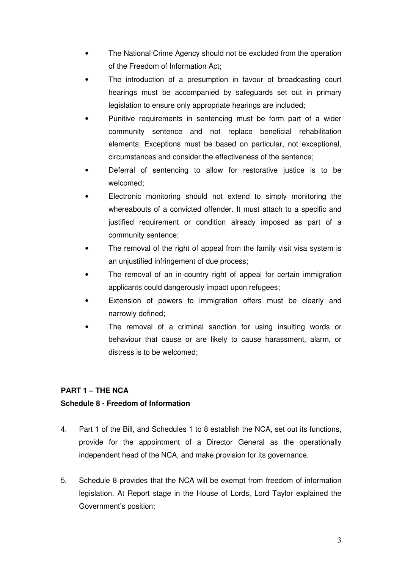- The National Crime Agency should not be excluded from the operation of the Freedom of Information Act;
- The introduction of a presumption in favour of broadcasting court hearings must be accompanied by safeguards set out in primary legislation to ensure only appropriate hearings are included;
- Punitive requirements in sentencing must be form part of a wider community sentence and not replace beneficial rehabilitation elements; Exceptions must be based on particular, not exceptional, circumstances and consider the effectiveness of the sentence;
- Deferral of sentencing to allow for restorative justice is to be welcomed;
- Electronic monitoring should not extend to simply monitoring the whereabouts of a convicted offender. It must attach to a specific and justified requirement or condition already imposed as part of a community sentence;
- The removal of the right of appeal from the family visit visa system is an unjustified infringement of due process;
- The removal of an in-country right of appeal for certain immigration applicants could dangerously impact upon refugees;
- Extension of powers to immigration offers must be clearly and narrowly defined;
- The removal of a criminal sanction for using insulting words or behaviour that cause or are likely to cause harassment, alarm, or distress is to be welcomed;

### **PART 1 – THE NCA**

#### **Schedule 8 - Freedom of Information**

- 4. Part 1 of the Bill, and Schedules 1 to 8 establish the NCA, set out its functions, provide for the appointment of a Director General as the operationally independent head of the NCA, and make provision for its governance.
- 5. Schedule 8 provides that the NCA will be exempt from freedom of information legislation. At Report stage in the House of Lords, Lord Taylor explained the Government's position: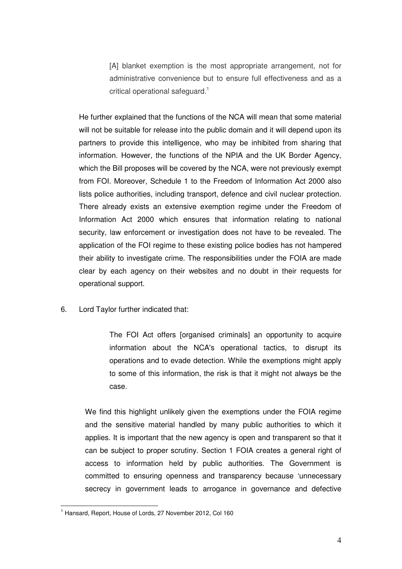[A] blanket exemption is the most appropriate arrangement, not for administrative convenience but to ensure full effectiveness and as a critical operational safeguard.<sup>1</sup>

He further explained that the functions of the NCA will mean that some material will not be suitable for release into the public domain and it will depend upon its partners to provide this intelligence, who may be inhibited from sharing that information. However, the functions of the NPIA and the UK Border Agency, which the Bill proposes will be covered by the NCA, were not previously exempt from FOI. Moreover, Schedule 1 to the Freedom of Information Act 2000 also lists police authorities, including transport, defence and civil nuclear protection. There already exists an extensive exemption regime under the Freedom of Information Act 2000 which ensures that information relating to national security, law enforcement or investigation does not have to be revealed. The application of the FOI regime to these existing police bodies has not hampered their ability to investigate crime. The responsibilities under the FOIA are made clear by each agency on their websites and no doubt in their requests for operational support.

6. Lord Taylor further indicated that:

The FOI Act offers [organised criminals] an opportunity to acquire information about the NCA's operational tactics, to disrupt its operations and to evade detection. While the exemptions might apply to some of this information, the risk is that it might not always be the case.

We find this highlight unlikely given the exemptions under the FOIA regime and the sensitive material handled by many public authorities to which it applies. It is important that the new agency is open and transparent so that it can be subject to proper scrutiny. Section 1 FOIA creates a general right of access to information held by public authorities. The Government is committed to ensuring openness and transparency because 'unnecessary secrecy in government leads to arrogance in governance and defective

 $\overline{a}$ 

<sup>&</sup>lt;sup>1</sup> Hansard, Report, House of Lords, 27 November 2012, Col 160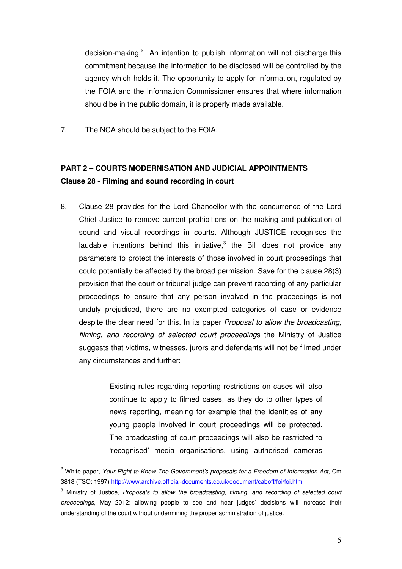decision-making.<sup>2</sup> An intention to publish information will not discharge this commitment because the information to be disclosed will be controlled by the agency which holds it. The opportunity to apply for information, regulated by the FOIA and the Information Commissioner ensures that where information should be in the public domain, it is properly made available.

7. The NCA should be subject to the FOIA.

## **PART 2 – COURTS MODERNISATION AND JUDICIAL APPOINTMENTS Clause 28 - Filming and sound recording in court**

8. Clause 28 provides for the Lord Chancellor with the concurrence of the Lord Chief Justice to remove current prohibitions on the making and publication of sound and visual recordings in courts. Although JUSTICE recognises the laudable intentions behind this initiative, $3$  the Bill does not provide any parameters to protect the interests of those involved in court proceedings that could potentially be affected by the broad permission. Save for the clause 28(3) provision that the court or tribunal judge can prevent recording of any particular proceedings to ensure that any person involved in the proceedings is not unduly prejudiced, there are no exempted categories of case or evidence despite the clear need for this. In its paper *Proposal to allow the broadcasting*, filming, and recording of selected court proceedings the Ministry of Justice suggests that victims, witnesses, jurors and defendants will not be filmed under any circumstances and further:

> Existing rules regarding reporting restrictions on cases will also continue to apply to filmed cases, as they do to other types of news reporting, meaning for example that the identities of any young people involved in court proceedings will be protected. The broadcasting of court proceedings will also be restricted to 'recognised' media organisations, using authorised cameras

<sup>&</sup>lt;sup>2</sup> White paper, Your Right to Know The Government's proposals for a Freedom of Information Act, Cm 3818 (TSO: 1997) http://www.archive.official-documents.co.uk/document/caboff/foi/foi.htm

 $3$  Ministry of Justice, Proposals to allow the broadcasting, filming, and recording of selected court proceedings, May 2012: allowing people to see and hear judges' decisions will increase their understanding of the court without undermining the proper administration of justice.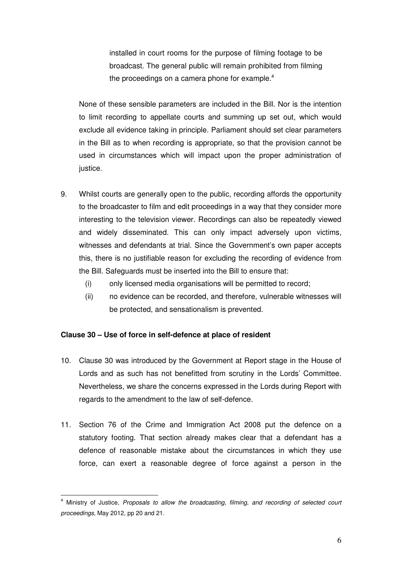installed in court rooms for the purpose of filming footage to be broadcast. The general public will remain prohibited from filming the proceedings on a camera phone for example.<sup>4</sup>

None of these sensible parameters are included in the Bill. Nor is the intention to limit recording to appellate courts and summing up set out, which would exclude all evidence taking in principle. Parliament should set clear parameters in the Bill as to when recording is appropriate, so that the provision cannot be used in circumstances which will impact upon the proper administration of justice.

- 9. Whilst courts are generally open to the public, recording affords the opportunity to the broadcaster to film and edit proceedings in a way that they consider more interesting to the television viewer. Recordings can also be repeatedly viewed and widely disseminated. This can only impact adversely upon victims, witnesses and defendants at trial. Since the Government's own paper accepts this, there is no justifiable reason for excluding the recording of evidence from the Bill. Safeguards must be inserted into the Bill to ensure that:
	- (i) only licensed media organisations will be permitted to record;
	- (ii) no evidence can be recorded, and therefore, vulnerable witnesses will be protected, and sensationalism is prevented.

#### **Clause 30 – Use of force in self-defence at place of resident**

- 10. Clause 30 was introduced by the Government at Report stage in the House of Lords and as such has not benefitted from scrutiny in the Lords' Committee. Nevertheless, we share the concerns expressed in the Lords during Report with regards to the amendment to the law of self-defence.
- 11. Section 76 of the Crime and Immigration Act 2008 put the defence on a statutory footing. That section already makes clear that a defendant has a defence of reasonable mistake about the circumstances in which they use force, can exert a reasonable degree of force against a person in the

<sup>&</sup>lt;sup>4</sup> Ministry of Justice, Proposals to allow the broadcasting, filming, and recording of selected court proceedings, May 2012, pp 20 and 21.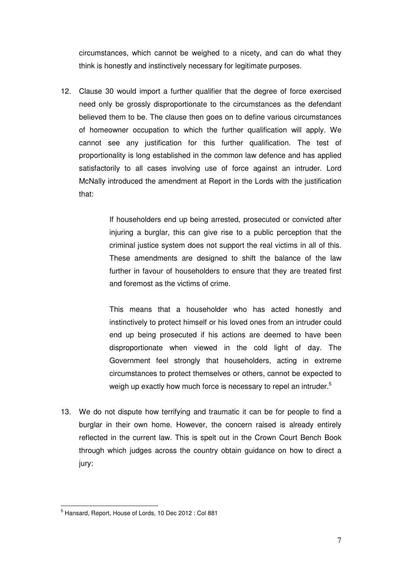circumstances, which cannot be weighed to a nicety, and can do what they think is honestly and instinctively necessary for legitimate purposes.

12. Clause 30 would import a further qualifier that the degree of force exercised need only be grossly disproportionate to the circumstances as the defendant believed them to be. The clause then goes on to define various circumstances of homeowner occupation to which the further qualification will apply. We cannot see any justification for this further qualification. The test of proportionality is long established in the common law defence and has applied satisfactorily to all cases involving use of force against an intruder. Lord McNally introduced the amendment at Report in the Lords with the justification that:

> If householders end up being arrested, prosecuted or convicted after injuring a burglar, this can give rise to a public perception that the criminal justice system does not support the real victims in all of this. These amendments are designed to shift the balance of the law further in favour of householders to ensure that they are treated first and foremost as the victims of crime.

> This means that a householder who has acted honestly and instinctively to protect himself or his loved ones from an intruder could end up being prosecuted if his actions are deemed to have been disproportionate when viewed in the cold light of day. The Government feel strongly that householders, acting in extreme circumstances to protect themselves or others, cannot be expected to weigh up exactly how much force is necessary to repel an intruder.<sup>5</sup>

13. We do not dispute how terrifying and traumatic it can be for people to find a burglar in their own home. However, the concern raised is already entirely reflected in the current law. This is spelt out in the Crown Court Bench Book through which judges across the country obtain guidance on how to direct a jury:

 $\overline{a}$ 

<sup>&</sup>lt;sup>5</sup> Hansard, Report, House of Lords, 10 Dec 2012 : Col 881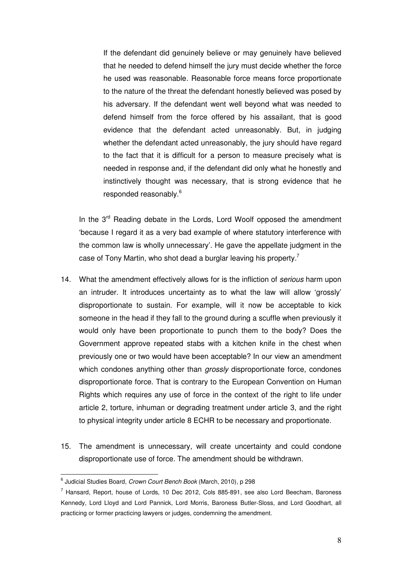If the defendant did genuinely believe or may genuinely have believed that he needed to defend himself the jury must decide whether the force he used was reasonable. Reasonable force means force proportionate to the nature of the threat the defendant honestly believed was posed by his adversary. If the defendant went well beyond what was needed to defend himself from the force offered by his assailant, that is good evidence that the defendant acted unreasonably. But, in judging whether the defendant acted unreasonably, the jury should have regard to the fact that it is difficult for a person to measure precisely what is needed in response and, if the defendant did only what he honestly and instinctively thought was necessary, that is strong evidence that he responded reasonably.<sup>6</sup>

In the 3<sup>rd</sup> Reading debate in the Lords, Lord Woolf opposed the amendment 'because I regard it as a very bad example of where statutory interference with the common law is wholly unnecessary'. He gave the appellate judgment in the case of Tony Martin, who shot dead a burglar leaving his property.<sup>7</sup>

- 14. What the amendment effectively allows for is the infliction of *serious* harm upon an intruder. It introduces uncertainty as to what the law will allow 'grossly' disproportionate to sustain. For example, will it now be acceptable to kick someone in the head if they fall to the ground during a scuffle when previously it would only have been proportionate to punch them to the body? Does the Government approve repeated stabs with a kitchen knife in the chest when previously one or two would have been acceptable? In our view an amendment which condones anything other than *grossly* disproportionate force, condones disproportionate force. That is contrary to the European Convention on Human Rights which requires any use of force in the context of the right to life under article 2, torture, inhuman or degrading treatment under article 3, and the right to physical integrity under article 8 ECHR to be necessary and proportionate.
- 15. The amendment is unnecessary, will create uncertainty and could condone disproportionate use of force. The amendment should be withdrawn.

<sup>&</sup>lt;sup>6</sup> Judicial Studies Board, Crown Court Bench Book (March, 2010), p 298

 $^7$  Hansard, Report, house of Lords, 10 Dec 2012, Cols 885-891, see also Lord Beecham, Baroness Kennedy, Lord Lloyd and Lord Pannick, Lord Morris, Baroness Butler-Sloss, and Lord Goodhart, all practicing or former practicing lawyers or judges, condemning the amendment.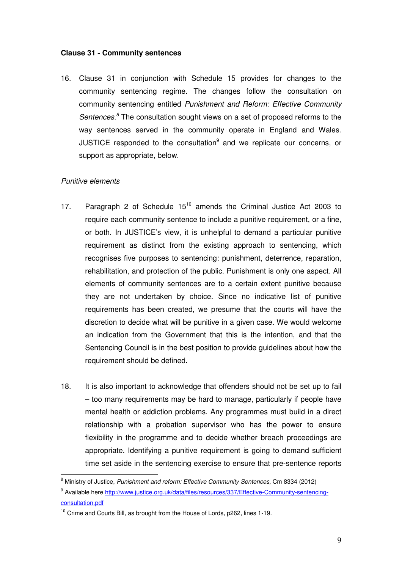#### **Clause 31 - Community sentences**

16. Clause 31 in conjunction with Schedule 15 provides for changes to the community sentencing regime. The changes follow the consultation on community sentencing entitled Punishment and Reform: Effective Community Sentences.<sup>8</sup> The consultation sought views on a set of proposed reforms to the way sentences served in the community operate in England and Wales. JUSTICE responded to the consultation<sup>9</sup> and we replicate our concerns, or support as appropriate, below.

#### Punitive elements

- 17. Paragraph 2 of Schedule 15<sup>10</sup> amends the Criminal Justice Act 2003 to require each community sentence to include a punitive requirement, or a fine, or both. In JUSTICE's view, it is unhelpful to demand a particular punitive requirement as distinct from the existing approach to sentencing, which recognises five purposes to sentencing: punishment, deterrence, reparation, rehabilitation, and protection of the public. Punishment is only one aspect. All elements of community sentences are to a certain extent punitive because they are not undertaken by choice. Since no indicative list of punitive requirements has been created, we presume that the courts will have the discretion to decide what will be punitive in a given case. We would welcome an indication from the Government that this is the intention, and that the Sentencing Council is in the best position to provide guidelines about how the requirement should be defined.
- 18. It is also important to acknowledge that offenders should not be set up to fail – too many requirements may be hard to manage, particularly if people have mental health or addiction problems. Any programmes must build in a direct relationship with a probation supervisor who has the power to ensure flexibility in the programme and to decide whether breach proceedings are appropriate. Identifying a punitive requirement is going to demand sufficient time set aside in the sentencing exercise to ensure that pre-sentence reports

<sup>&</sup>lt;sup>8</sup> Ministry of Justice, Punishment and reform: Effective Community Sentences, Cm 8334 (2012)

<sup>&</sup>lt;sup>9</sup> Available here http://www.justice.org.uk/data/files/resources/337/Effective-Community-sentencingconsultation.pdf

 $10$  Crime and Courts Bill, as brought from the House of Lords, p262, lines 1-19.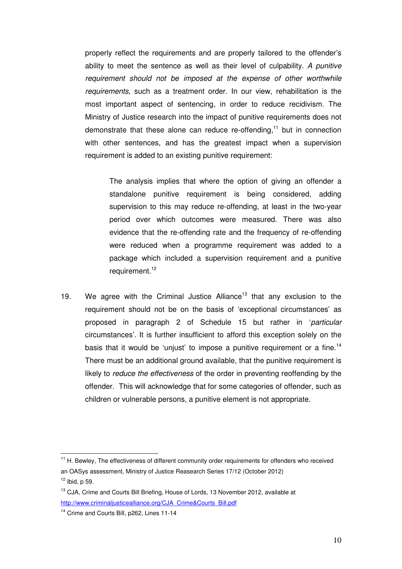properly reflect the requirements and are properly tailored to the offender's ability to meet the sentence as well as their level of culpability. A punitive requirement should not be imposed at the expense of other worthwhile requirements, such as a treatment order. In our view, rehabilitation is the most important aspect of sentencing, in order to reduce recidivism. The Ministry of Justice research into the impact of punitive requirements does not demonstrate that these alone can reduce re-offending, $<sup>11</sup>$  but in connection</sup> with other sentences, and has the greatest impact when a supervision requirement is added to an existing punitive requirement:

The analysis implies that where the option of giving an offender a standalone punitive requirement is being considered, adding supervision to this may reduce re-offending, at least in the two-year period over which outcomes were measured. There was also evidence that the re-offending rate and the frequency of re-offending were reduced when a programme requirement was added to a package which included a supervision requirement and a punitive requirement.<sup>12</sup>

19. We agree with the Criminal Justice Alliance<sup>13</sup> that any exclusion to the requirement should not be on the basis of 'exceptional circumstances' as proposed in paragraph 2 of Schedule 15 but rather in 'particular circumstances'. It is further insufficient to afford this exception solely on the basis that it would be 'unjust' to impose a punitive requirement or a fine.<sup>14</sup> There must be an additional ground available, that the punitive requirement is likely to reduce the effectiveness of the order in preventing reoffending by the offender. This will acknowledge that for some categories of offender, such as children or vulnerable persons, a punitive element is not appropriate.

 $\overline{a}$ 

<sup>&</sup>lt;sup>11</sup> H. Bewley, The effectiveness of different community order requirements for offenders who received an OASys assessment, Ministry of Justice Reasearch Series 17/12 (October 2012)  $12$  Ibid, p 59.

<sup>&</sup>lt;sup>13</sup> CJA, Crime and Courts Bill Briefing, House of Lords, 13 November 2012, available at http://www.criminaljusticealliance.org/CJA\_Crime&Courts\_Bill.pdf

<sup>&</sup>lt;sup>14</sup> Crime and Courts Bill, p262, Lines 11-14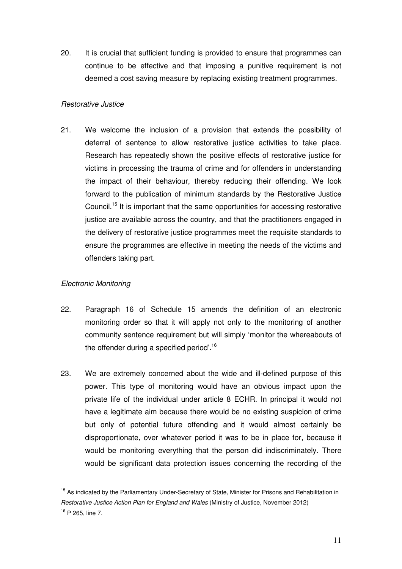20. It is crucial that sufficient funding is provided to ensure that programmes can continue to be effective and that imposing a punitive requirement is not deemed a cost saving measure by replacing existing treatment programmes.

#### Restorative Justice

21. We welcome the inclusion of a provision that extends the possibility of deferral of sentence to allow restorative justice activities to take place. Research has repeatedly shown the positive effects of restorative justice for victims in processing the trauma of crime and for offenders in understanding the impact of their behaviour, thereby reducing their offending. We look forward to the publication of minimum standards by the Restorative Justice Council.<sup>15</sup> It is important that the same opportunities for accessing restorative justice are available across the country, and that the practitioners engaged in the delivery of restorative justice programmes meet the requisite standards to ensure the programmes are effective in meeting the needs of the victims and offenders taking part.

#### Electronic Monitoring

- 22. Paragraph 16 of Schedule 15 amends the definition of an electronic monitoring order so that it will apply not only to the monitoring of another community sentence requirement but will simply 'monitor the whereabouts of the offender during a specified period'.<sup>16</sup>
- 23. We are extremely concerned about the wide and ill-defined purpose of this power. This type of monitoring would have an obvious impact upon the private life of the individual under article 8 ECHR. In principal it would not have a legitimate aim because there would be no existing suspicion of crime but only of potential future offending and it would almost certainly be disproportionate, over whatever period it was to be in place for, because it would be monitoring everything that the person did indiscriminately. There would be significant data protection issues concerning the recording of the

<sup>&</sup>lt;sup>15</sup> As indicated by the Parliamentary Under-Secretary of State, Minister for Prisons and Rehabilitation in Restorative Justice Action Plan for England and Wales (Ministry of Justice, November 2012) <sup>16</sup> P 265, line 7.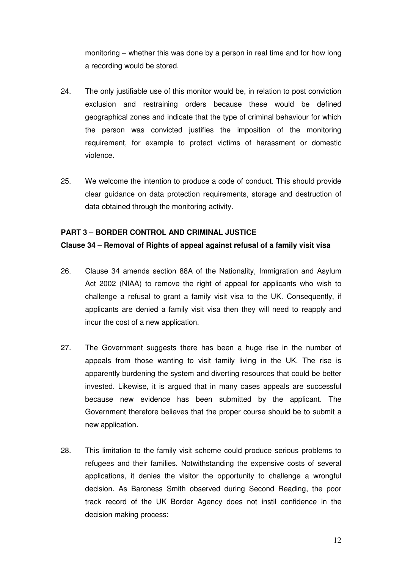monitoring – whether this was done by a person in real time and for how long a recording would be stored.

- 24. The only justifiable use of this monitor would be, in relation to post conviction exclusion and restraining orders because these would be defined geographical zones and indicate that the type of criminal behaviour for which the person was convicted justifies the imposition of the monitoring requirement, for example to protect victims of harassment or domestic violence.
- 25. We welcome the intention to produce a code of conduct. This should provide clear guidance on data protection requirements, storage and destruction of data obtained through the monitoring activity.

#### **PART 3 – BORDER CONTROL AND CRIMINAL JUSTICE**

#### **Clause 34 – Removal of Rights of appeal against refusal of a family visit visa**

- 26. Clause 34 amends section 88A of the Nationality, Immigration and Asylum Act 2002 (NIAA) to remove the right of appeal for applicants who wish to challenge a refusal to grant a family visit visa to the UK. Consequently, if applicants are denied a family visit visa then they will need to reapply and incur the cost of a new application.
- 27. The Government suggests there has been a huge rise in the number of appeals from those wanting to visit family living in the UK. The rise is apparently burdening the system and diverting resources that could be better invested. Likewise, it is argued that in many cases appeals are successful because new evidence has been submitted by the applicant. The Government therefore believes that the proper course should be to submit a new application.
- 28. This limitation to the family visit scheme could produce serious problems to refugees and their families. Notwithstanding the expensive costs of several applications, it denies the visitor the opportunity to challenge a wrongful decision. As Baroness Smith observed during Second Reading, the poor track record of the UK Border Agency does not instil confidence in the decision making process: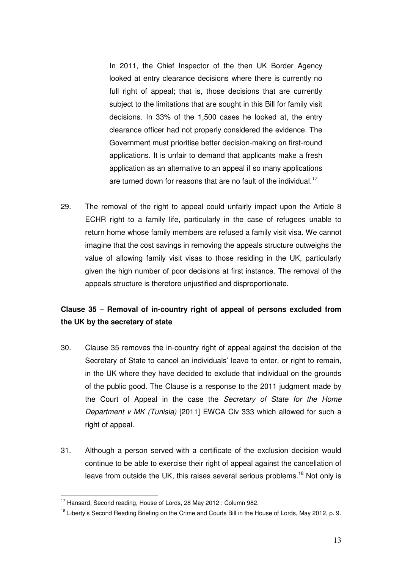In 2011, the Chief Inspector of the then UK Border Agency looked at entry clearance decisions where there is currently no full right of appeal; that is, those decisions that are currently subject to the limitations that are sought in this Bill for family visit decisions. In 33% of the 1,500 cases he looked at, the entry clearance officer had not properly considered the evidence. The Government must prioritise better decision-making on first-round applications. It is unfair to demand that applicants make a fresh application as an alternative to an appeal if so many applications are turned down for reasons that are no fault of the individual.<sup>17</sup>

29. The removal of the right to appeal could unfairly impact upon the Article 8 ECHR right to a family life, particularly in the case of refugees unable to return home whose family members are refused a family visit visa. We cannot imagine that the cost savings in removing the appeals structure outweighs the value of allowing family visit visas to those residing in the UK, particularly given the high number of poor decisions at first instance. The removal of the appeals structure is therefore unjustified and disproportionate.

## **Clause 35 – Removal of in-country right of appeal of persons excluded from the UK by the secretary of state**

- 30. Clause 35 removes the in-country right of appeal against the decision of the Secretary of State to cancel an individuals' leave to enter, or right to remain, in the UK where they have decided to exclude that individual on the grounds of the public good. The Clause is a response to the 2011 judgment made by the Court of Appeal in the case the Secretary of State for the Home Department v MK (Tunisia) [2011] EWCA Civ 333 which allowed for such a right of appeal.
- 31. Although a person served with a certificate of the exclusion decision would continue to be able to exercise their right of appeal against the cancellation of leave from outside the UK, this raises several serious problems.<sup>18</sup> Not only is

<sup>&</sup>lt;sup>17</sup> Hansard, Second reading, House of Lords, 28 May 2012 : Column 982.

<sup>&</sup>lt;sup>18</sup> Liberty's Second Reading Briefing on the Crime and Courts Bill in the House of Lords, May 2012, p. 9.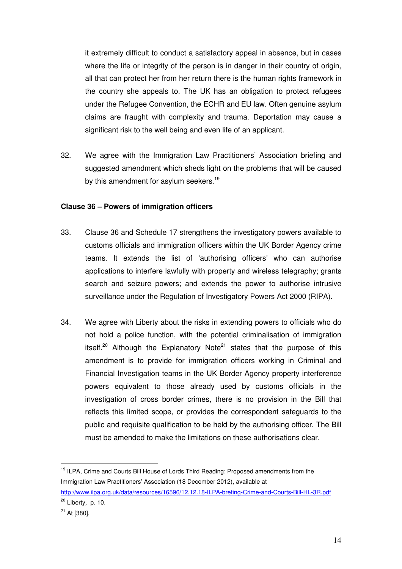it extremely difficult to conduct a satisfactory appeal in absence, but in cases where the life or integrity of the person is in danger in their country of origin, all that can protect her from her return there is the human rights framework in the country she appeals to. The UK has an obligation to protect refugees under the Refugee Convention, the ECHR and EU law. Often genuine asylum claims are fraught with complexity and trauma. Deportation may cause a significant risk to the well being and even life of an applicant.

32. We agree with the Immigration Law Practitioners' Association briefing and suggested amendment which sheds light on the problems that will be caused by this amendment for asylum seekers.<sup>19</sup>

#### **Clause 36 – Powers of immigration officers**

- 33. Clause 36 and Schedule 17 strengthens the investigatory powers available to customs officials and immigration officers within the UK Border Agency crime teams. It extends the list of 'authorising officers' who can authorise applications to interfere lawfully with property and wireless telegraphy; grants search and seizure powers; and extends the power to authorise intrusive surveillance under the Regulation of Investigatory Powers Act 2000 (RIPA).
- 34. We agree with Liberty about the risks in extending powers to officials who do not hold a police function, with the potential criminalisation of immigration itself.<sup>20</sup> Although the Explanatory Note<sup>21</sup> states that the purpose of this amendment is to provide for immigration officers working in Criminal and Financial Investigation teams in the UK Border Agency property interference powers equivalent to those already used by customs officials in the investigation of cross border crimes, there is no provision in the Bill that reflects this limited scope, or provides the correspondent safeguards to the public and requisite qualification to be held by the authorising officer. The Bill must be amended to make the limitations on these authorisations clear.

<sup>&</sup>lt;sup>19</sup> ILPA, Crime and Courts Bill House of Lords Third Reading: Proposed amendments from the Immigration Law Practitioners' Association (18 December 2012), available at

http://www.ilpa.org.uk/data/resources/16596/12.12.18-ILPA-brefing-Crime-and-Courts-Bill-HL-3R.pdf  $20$  Liberty, p. 10.

 $21$  At [380].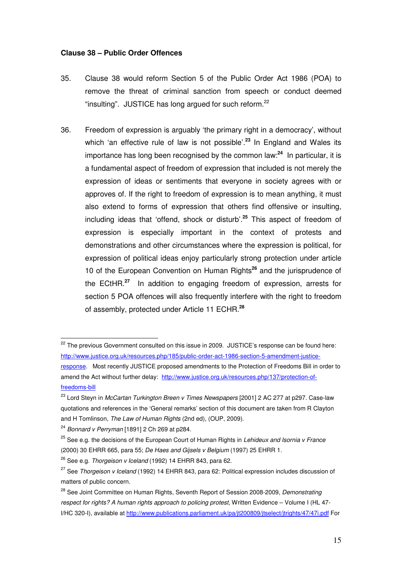#### **Clause 38 – Public Order Offences**

- 35. Clause 38 would reform Section 5 of the Public Order Act 1986 (POA) to remove the threat of criminal sanction from speech or conduct deemed "insulting". JUSTICE has long argued for such reform.<sup>22</sup>
- 36. Freedom of expression is arguably 'the primary right in a democracy', without which 'an effective rule of law is not possible'.**<sup>23</sup>** In England and Wales its importance has long been recognised by the common law:**<sup>24</sup>** In particular, it is a fundamental aspect of freedom of expression that included is not merely the expression of ideas or sentiments that everyone in society agrees with or approves of. If the right to freedom of expression is to mean anything, it must also extend to forms of expression that others find offensive or insulting, including ideas that 'offend, shock or disturb'.**<sup>25</sup>** This aspect of freedom of expression is especially important in the context of protests and demonstrations and other circumstances where the expression is political, for expression of political ideas enjoy particularly strong protection under article 10 of the European Convention on Human Rights**<sup>26</sup>** and the jurisprudence of the ECtHR.**<sup>27</sup>** In addition to engaging freedom of expression, arrests for section 5 POA offences will also frequently interfere with the right to freedom of assembly, protected under Article 11 ECHR.**<sup>28</sup>**

<sup>&</sup>lt;sup>22</sup> The previous Government consulted on this issue in 2009. JUSTICE's response can be found here: http://www.justice.org.uk/resources.php/185/public-order-act-1986-section-5-amendment-justiceresponse. Most recently JUSTICE proposed amendments to the Protection of Freedoms Bill in order to amend the Act without further delay: http://www.justice.org.uk/resources.php/137/protection-offreedoms-bill

 $^{23}$  Lord Stevn in *McCartan Turkington Breen v Times Newspapers* [2001] 2 AC 277 at p297. Case-law quotations and references in the 'General remarks' section of this document are taken from R Clayton and H Tomlinson, The Law of Human Rights (2nd ed), (OUP, 2009).

 $24$  Bonnard v Perryman [1891] 2 Ch 269 at p284.

 $25$  See e.g. the decisions of the European Court of Human Rights in Lehideux and Isornia v France (2000) 30 EHRR 665, para 55; De Haes and Gijsels v Belgium (1997) 25 EHRR 1.

 $26$  See e.g. Thorgeison v Iceland (1992) 14 EHRR 843, para 62.

<sup>&</sup>lt;sup>27</sup> See *Thorgeison v Iceland* (1992) 14 EHRR 843, para 62; Political expression includes discussion of matters of public concern.

<sup>&</sup>lt;sup>28</sup> See Joint Committee on Human Rights, Seventh Report of Session 2008-2009, Demonstrating respect for rights? A human rights approach to policing protest, Written Evidence – Volume I (HL 47- I/HC 320-I), available at http://www.publications.parliament.uk/pa/jt200809/jtselect/jtrights/47/47i.pdf For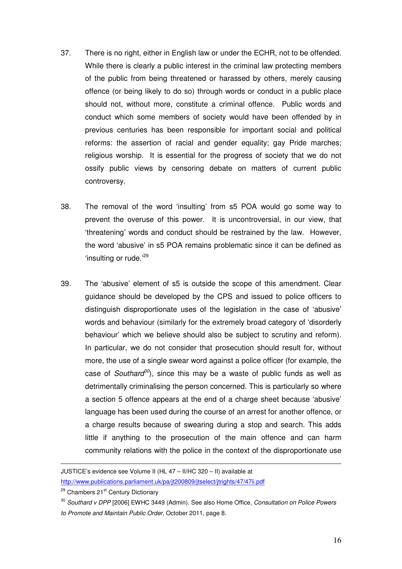- 37. There is no right, either in English law or under the ECHR, not to be offended. While there is clearly a public interest in the criminal law protecting members of the public from being threatened or harassed by others, merely causing offence (or being likely to do so) through words or conduct in a public place should not, without more, constitute a criminal offence. Public words and conduct which some members of society would have been offended by in previous centuries has been responsible for important social and political reforms: the assertion of racial and gender equality; gay Pride marches; religious worship. It is essential for the progress of society that we do not ossify public views by censoring debate on matters of current public controversy.
- 38. The removal of the word 'insulting' from s5 POA would go some way to prevent the overuse of this power. It is uncontroversial, in our view, that 'threatening' words and conduct should be restrained by the law. However, the word 'abusive' in s5 POA remains problematic since it can be defined as 'insulting or rude.'<sup>29</sup>
- 39. The 'abusive' element of s5 is outside the scope of this amendment. Clear guidance should be developed by the CPS and issued to police officers to distinguish disproportionate uses of the legislation in the case of 'abusive' words and behaviour (similarly for the extremely broad category of 'disorderly behaviour' which we believe should also be subject to scrutiny and reform). In particular, we do not consider that prosecution should result for, without more, the use of a single swear word against a police officer (for example, the case of Southard<sup>30</sup>), since this may be a waste of public funds as well as detrimentally criminalising the person concerned. This is particularly so where a section 5 offence appears at the end of a charge sheet because 'abusive' language has been used during the course of an arrest for another offence, or a charge results because of swearing during a stop and search. This adds little if anything to the prosecution of the main offence and can harm community relations with the police in the context of the disproportionate use

JUSTICE's evidence see Volume II (HL 47 – II/HC 320 – II) available at http://www.publications.parliament.uk/pa/jt200809/jtselect/jtrights/47/47ii.pdf

<sup>&</sup>lt;sup>29</sup> Chambers 21<sup>st</sup> Century Dictionary

<sup>&</sup>lt;sup>30</sup> Southard v DPP [2006] EWHC 3449 (Admin). See also Home Office, Consultation on Police Powers to Promote and Maintain Public Order, October 2011, page 8.